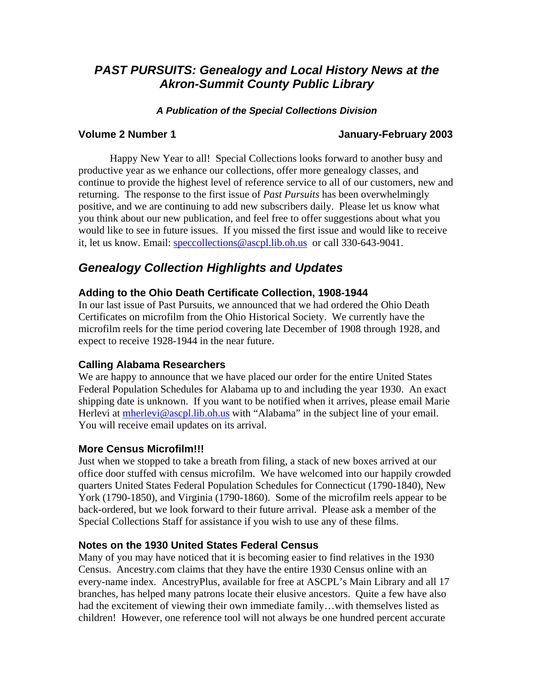# *PAST PURSUITS: Genealogy and Local History News at the Akron-Summit County Public Library*

## *A Publication of the Special Collections Division*

## **Volume 2 Number 1 January-February 2003**

Happy New Year to all! Special Collections looks forward to another busy and productive year as we enhance our collections, offer more genealogy classes, and continue to provide the highest level of reference service to all of our customers, new and returning. The response to the first issue of *Past Pursuits* has been overwhelmingly positive, and we are continuing to add new subscribers daily. Please let us know what you think about our new publication, and feel free to offer suggestions about what you would like to see in future issues. If you missed the first issue and would like to receive it, let us know. Email: [speccollections@ascpl.lib.oh.us](mailto:speccollections@ascpl.lib.oh.us) or call 330-643-9041.

# *Genealogy Collection Highlights and Updates*

## **Adding to the Ohio Death Certificate Collection, 1908-1944**

In our last issue of Past Pursuits, we announced that we had ordered the Ohio Death Certificates on microfilm from the Ohio Historical Society. We currently have the microfilm reels for the time period covering late December of 1908 through 1928, and expect to receive 1928-1944 in the near future.

## **Calling Alabama Researchers**

We are happy to announce that we have placed our order for the entire United States Federal Population Schedules for Alabama up to and including the year 1930. An exact shipping date is unknown. If you want to be notified when it arrives, please email Marie Herlevi at [mherlevi@ascpl.lib.oh.us](mailto:mherlevi@ascpl.lib.oh.us) with "Alabama" in the subject line of your email. You will receive email updates on its arrival.

## **More Census Microfilm!!!**

Just when we stopped to take a breath from filing, a stack of new boxes arrived at our office door stuffed with census microfilm. We have welcomed into our happily crowded quarters United States Federal Population Schedules for Connecticut (1790-1840), New York (1790-1850), and Virginia (1790-1860). Some of the microfilm reels appear to be back-ordered, but we look forward to their future arrival. Please ask a member of the Special Collections Staff for assistance if you wish to use any of these films.

## **Notes on the 1930 United States Federal Census**

Many of you may have noticed that it is becoming easier to find relatives in the 1930 Census. Ancestry.com claims that they have the entire 1930 Census online with an every-name index. AncestryPlus, available for free at ASCPL's Main Library and all 17 branches, has helped many patrons locate their elusive ancestors. Quite a few have also had the excitement of viewing their own immediate family…with themselves listed as children! However, one reference tool will not always be one hundred percent accurate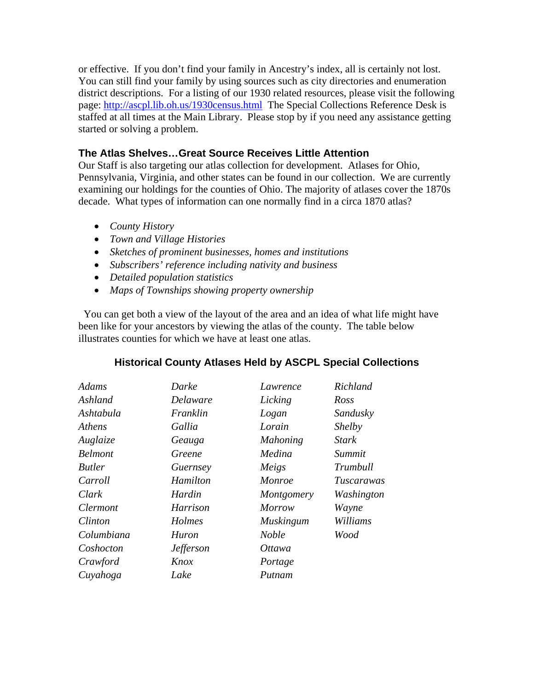or effective. If you don't find your family in Ancestry's index, all is certainly not lost. You can still find your family by using sources such as city directories and enumeration district descriptions. For a listing of our 1930 related resources, please visit the following page:<http://ascpl.lib.oh.us/1930census.html>The Special Collections Reference Desk is staffed at all times at the Main Library. Please stop by if you need any assistance getting started or solving a problem.

## **The Atlas Shelves…Great Source Receives Little Attention**

Our Staff is also targeting our atlas collection for development. Atlases for Ohio, Pennsylvania, Virginia, and other states can be found in our collection. We are currently examining our holdings for the counties of Ohio. The majority of atlases cover the 1870s decade. What types of information can one normally find in a circa 1870 atlas?

- *County History*
- *Town and Village Histories*
- *Sketches of prominent businesses, homes and institutions*
- *Subscribers' reference including nativity and business*
- *Detailed population statistics*
- *Maps of Townships showing property ownership*

 You can get both a view of the layout of the area and an idea of what life might have been like for your ancestors by viewing the atlas of the county. The table below illustrates counties for which we have at least one atlas.

| Adams           | Darke            | Lawrence         | Richland          |
|-----------------|------------------|------------------|-------------------|
| Ashland         | Delaware         | Licking          | Ross              |
| Ashtabula       | Franklin         | Logan            | Sandusky          |
| Athens          | Gallia           | Lorain           | <i>Shelby</i>     |
| Auglaize        | Geauga           | <b>Mahoning</b>  | <b>Stark</b>      |
| <b>Belmont</b>  | Greene           | Medina           | Summit            |
| <b>Butler</b>   | Guernsey         | Meigs            | Trumbull          |
| Carroll         | Hamilton         | <i>Monroe</i>    | <i>Tuscarawas</i> |
| Clark           | Hardin           | Montgomery       | Washington        |
| <i>Clermont</i> | Harrison         | <i>Morrow</i>    | Wayne             |
| Clinton         | Holmes           | <b>Muskingum</b> | Williams          |
| Columbiana      | Huron            | <b>Noble</b>     | Wood              |
| Coshocton       | <b>Jefferson</b> | <i>Ottawa</i>    |                   |
| Crawford        | Knox             | Portage          |                   |
| Cuyahoga        | Lake             | Putnam           |                   |

## **Historical County Atlases Held by ASCPL Special Collections**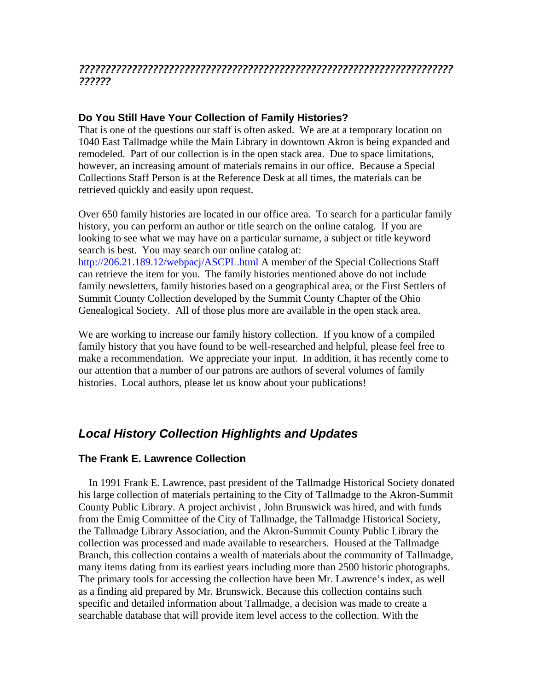## *??????????????????????????????????????????????????????????????????????? ??????*

## **Do You Still Have Your Collection of Family Histories?**

That is one of the questions our staff is often asked. We are at a temporary location on 1040 East Tallmadge while the Main Library in downtown Akron is being expanded and remodeled. Part of our collection is in the open stack area. Due to space limitations, however, an increasing amount of materials remains in our office. Because a Special Collections Staff Person is at the Reference Desk at all times, the materials can be retrieved quickly and easily upon request.

Over 650 family histories are located in our office area. To search for a particular family history, you can perform an author or title search on the online catalog. If you are looking to see what we may have on a particular surname, a subject or title keyword search is best. You may search our online catalog at: <http://206.21.189.12/webpacj/ASCPL.html>A member of the Special Collections Staff can retrieve the item for you. The family histories mentioned above do not include family newsletters, family histories based on a geographical area, or the First Settlers of Summit County Collection developed by the Summit County Chapter of the Ohio Genealogical Society. All of those plus more are available in the open stack area.

We are working to increase our family history collection. If you know of a compiled family history that you have found to be well-researched and helpful, please feel free to make a recommendation. We appreciate your input. In addition, it has recently come to our attention that a number of our patrons are authors of several volumes of family histories. Local authors, please let us know about your publications!

# *Local History Collection Highlights and Updates*

## **The Frank E. Lawrence Collection**

 In 1991 Frank E. Lawrence, past president of the Tallmadge Historical Society donated his large collection of materials pertaining to the City of Tallmadge to the Akron-Summit County Public Library. A project archivist , John Brunswick was hired, and with funds from the Emig Committee of the City of Tallmadge, the Tallmadge Historical Society, the Tallmadge Library Association, and the Akron-Summit County Public Library the collection was processed and made available to researchers. Housed at the Tallmadge Branch, this collection contains a wealth of materials about the community of Tallmadge, many items dating from its earliest years including more than 2500 historic photographs. The primary tools for accessing the collection have been Mr. Lawrence's index, as well as a finding aid prepared by Mr. Brunswick. Because this collection contains such specific and detailed information about Tallmadge, a decision was made to create a searchable database that will provide item level access to the collection. With the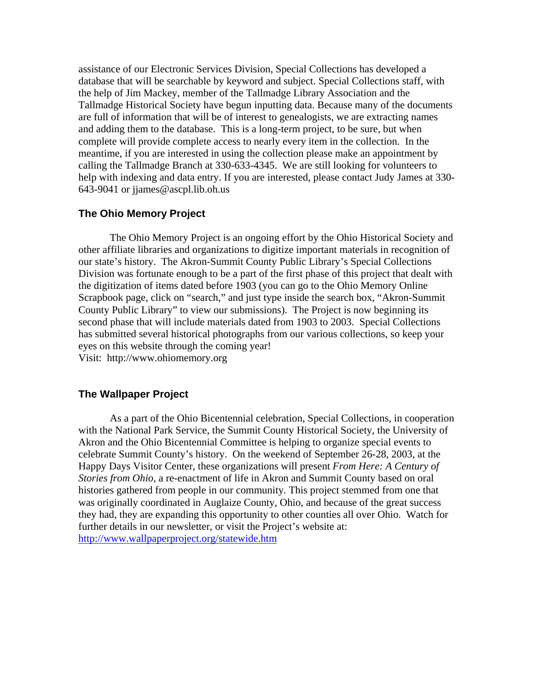assistance of our Electronic Services Division, Special Collections has developed a database that will be searchable by keyword and subject. Special Collections staff, with the help of Jim Mackey, member of the Tallmadge Library Association and the Tallmadge Historical Society have begun inputting data. Because many of the documents are full of information that will be of interest to genealogists, we are extracting names and adding them to the database. This is a long-term project, to be sure, but when complete will provide complete access to nearly every item in the collection. In the meantime, if you are interested in using the collection please make an appointment by calling the Tallmadge Branch at 330-633-4345. We are still looking for volunteers to help with indexing and data entry. If you are interested, please contact Judy James at 330- 643-9041 or jjames@ascpl.lib.oh.us

## **The Ohio Memory Project**

The Ohio Memory Project is an ongoing effort by the Ohio Historical Society and other affiliate libraries and organizations to digitize important materials in recognition of our state's history. The Akron-Summit County Public Library's Special Collections Division was fortunate enough to be a part of the first phase of this project that dealt with the digitization of items dated before 1903 (you can go to the Ohio Memory Online Scrapbook page, click on "search," and just type inside the search box, "Akron-Summit County Public Library" to view our submissions). The Project is now beginning its second phase that will include materials dated from 1903 to 2003. Special Collections has submitted several historical photographs from our various collections, so keep your eyes on this website through the coming year! Visit: http://www.ohiomemory.org

### **The Wallpaper Project**

 As a part of the Ohio Bicentennial celebration, Special Collections, in cooperation with the National Park Service, the Summit County Historical Society, the University of Akron and the Ohio Bicentennial Committee is helping to organize special events to celebrate Summit County's history. On the weekend of September 26-28, 2003, at the Happy Days Visitor Center, these organizations will present *From Here: A Century of Stories from Ohio,* a re-enactment of life in Akron and Summit County based on oral histories gathered from people in our community. This project stemmed from one that was originally coordinated in Auglaize County, Ohio, and because of the great success they had, they are expanding this opportunity to other counties all over Ohio. Watch for further details in our newsletter, or visit the Project's website at: <http://www.wallpaperproject.org/statewide.htm>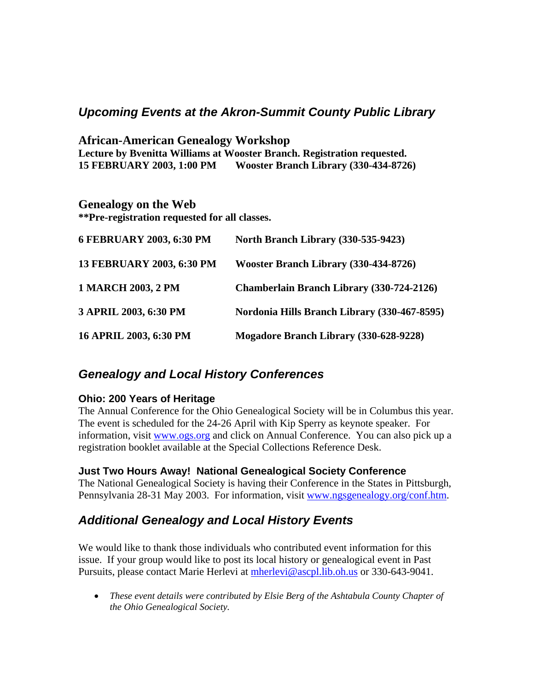# *Upcoming Events at the Akron-Summit County Public Library*

**African-American Genealogy Workshop Lecture by Bvenitta Williams at Wooster Branch. Registration requested. 15 FEBRUARY 2003, 1:00 PM Wooster Branch Library (330-434-8726)** 

## **Genealogy on the Web**

**\*\*Pre-registration requested for all classes.** 

| 6 FEBRUARY 2003, 6:30 PM  | North Branch Library (330-535-9423)              |
|---------------------------|--------------------------------------------------|
| 13 FEBRUARY 2003, 6:30 PM | Wooster Branch Library (330-434-8726)            |
| <b>1 MARCH 2003, 2 PM</b> | <b>Chamberlain Branch Library (330-724-2126)</b> |
| 3 APRIL 2003, 6:30 PM     | Nordonia Hills Branch Library (330-467-8595)     |
| 16 APRIL 2003, 6:30 PM    | Mogadore Branch Library (330-628-9228)           |

# *Genealogy and Local History Conferences*

## **Ohio: 200 Years of Heritage**

The Annual Conference for the Ohio Genealogical Society will be in Columbus this year. The event is scheduled for the 24-26 April with Kip Sperry as keynote speaker. For information, visit [www.ogs.org](http://www.ogs.org/) and click on Annual Conference. You can also pick up a registration booklet available at the Special Collections Reference Desk.

## **Just Two Hours Away! National Genealogical Society Conference**

The National Genealogical Society is having their Conference in the States in Pittsburgh, Pennsylvania 28-31 May 2003. For information, visit [www.ngsgenealogy.org/conf.htm](http://www.ngsgenealogy.org/conf.htm).

# *Additional Genealogy and Local History Events*

We would like to thank those individuals who contributed event information for this issue. If your group would like to post its local history or genealogical event in Past Pursuits, please contact Marie Herlevi at [mherlevi@ascpl.lib.oh.us](mailto:mherlevi@ascpl.lib.oh.us) or 330-643-9041.

• *These event details were contributed by Elsie Berg of the Ashtabula County Chapter of the Ohio Genealogical Society.*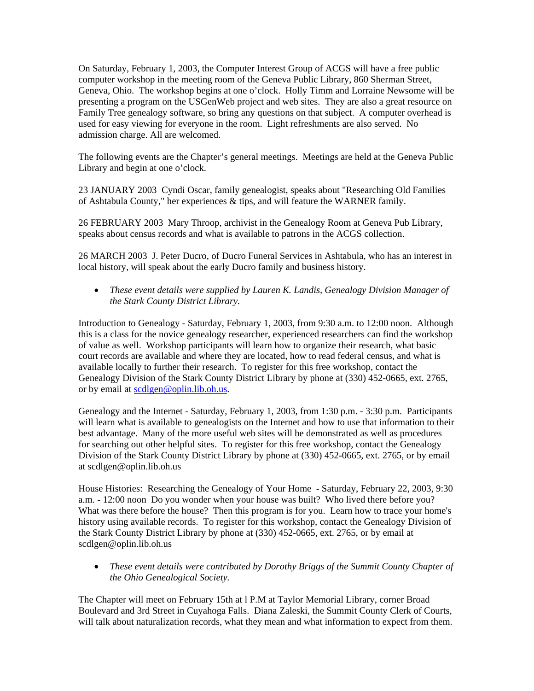On Saturday, February 1, 2003, the Computer Interest Group of ACGS will have a free public computer workshop in the meeting room of the Geneva Public Library, 860 Sherman Street, Geneva, Ohio. The workshop begins at one o'clock. Holly Timm and Lorraine Newsome will be presenting a program on the USGenWeb project and web sites. They are also a great resource on Family Tree genealogy software, so bring any questions on that subject. A computer overhead is used for easy viewing for everyone in the room. Light refreshments are also served. No admission charge. All are welcomed.

The following events are the Chapter's general meetings. Meetings are held at the Geneva Public Library and begin at one o'clock.

23 JANUARY 2003 Cyndi Oscar, family genealogist, speaks about "Researching Old Families of Ashtabula County," her experiences & tips, and will feature the WARNER family.

26 FEBRUARY 2003 Mary Throop, archivist in the Genealogy Room at Geneva Pub Library, speaks about census records and what is available to patrons in the ACGS collection.

26 MARCH 2003 J. Peter Ducro, of Ducro Funeral Services in Ashtabula, who has an interest in local history, will speak about the early Ducro family and business history.

• *These event details were supplied by Lauren K. Landis, Genealogy Division Manager of the Stark County District Library.* 

Introduction to Genealogy - Saturday, February 1, 2003, from 9:30 a.m. to 12:00 noon. Although this is a class for the novice genealogy researcher, experienced researchers can find the workshop of value as well. Workshop participants will learn how to organize their research, what basic court records are available and where they are located, how to read federal census, and what is available locally to further their research. To register for this free workshop, contact the Genealogy Division of the Stark County District Library by phone at (330) 452-0665, ext. 2765, or by email at [scdlgen@oplin.lib.oh.us.](mailto:scdlgen@oplin.lib.oh.us)

Genealogy and the Internet - Saturday, February 1, 2003, from 1:30 p.m. - 3:30 p.m. Participants will learn what is available to genealogists on the Internet and how to use that information to their best advantage. Many of the more useful web sites will be demonstrated as well as procedures for searching out other helpful sites. To register for this free workshop, contact the Genealogy Division of the Stark County District Library by phone at (330) 452-0665, ext. 2765, or by email at scdlgen@oplin.lib.oh.us

House Histories: Researching the Genealogy of Your Home - Saturday, February 22, 2003, 9:30 a.m. - 12:00 noon Do you wonder when your house was built? Who lived there before you? What was there before the house? Then this program is for you. Learn how to trace your home's history using available records. To register for this workshop, contact the Genealogy Division of the Stark County District Library by phone at (330) 452-0665, ext. 2765, or by email at scdlgen@oplin.lib.oh.us

• *These event details were contributed by Dorothy Briggs of the Summit County Chapter of the Ohio Genealogical Society.* 

The Chapter will meet on February 15th at l P.M at Taylor Memorial Library, corner Broad Boulevard and 3rd Street in Cuyahoga Falls. Diana Zaleski, the Summit County Clerk of Courts, will talk about naturalization records, what they mean and what information to expect from them.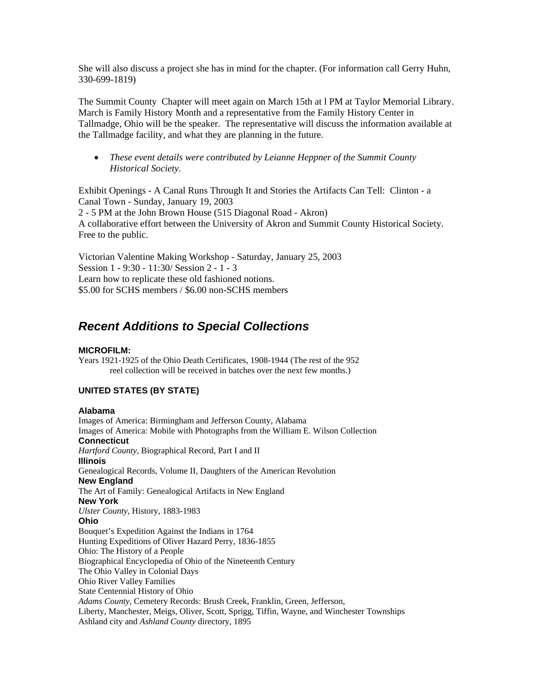She will also discuss a project she has in mind for the chapter. (For information call Gerry Huhn, 330-699-1819)

The Summit County Chapter will meet again on March 15th at l PM at Taylor Memorial Library. March is Family History Month and a representative from the Family History Center in Tallmadge, Ohio will be the speaker. The representative will discuss the information available at the Tallmadge facility, and what they are planning in the future.

• *These event details were contributed by Leianne Heppner of the Summit County Historical Society.* 

Exhibit Openings - A Canal Runs Through It and Stories the Artifacts Can Tell: Clinton - a Canal Town - Sunday, January 19, 2003 2 - 5 PM at the John Brown House (515 Diagonal Road - Akron) A collaborative effort between the University of Akron and Summit County Historical Society. Free to the public.

Victorian Valentine Making Workshop - Saturday, January 25, 2003 Session 1 - 9:30 - 11:30/ Session 2 - 1 - 3 Learn how to replicate these old fashioned notions. \$5.00 for SCHS members / \$6.00 non-SCHS members

# *Recent Additions to Special Collections*

#### **MICROFILM:**

Years 1921-1925 of the Ohio Death Certificates, 1908-1944 (The rest of the 952 reel collection will be received in batches over the next few months.)

### **UNITED STATES (BY STATE)**

#### **Alabama**

Images of America: Birmingham and Jefferson County, Alabama Images of America: Mobile with Photographs from the William E. Wilson Collection **Connecticut**  *Hartford County,* Biographical Record, Part I and II **Illinois**  Genealogical Records, Volume II, Daughters of the American Revolution **New England**  The Art of Family: Genealogical Artifacts in New England **New York**  *Ulster County,* History, 1883-1983 **Ohio**  Bouquet's Expedition Against the Indians in 1764 Hunting Expeditions of Oliver Hazard Perry, 1836-1855 Ohio: The History of a People Biographical Encyclopedia of Ohio of the Nineteenth Century The Ohio Valley in Colonial Days Ohio River Valley Families State Centennial History of Ohio *Adams County,* Cemetery Records: Brush Creek, Franklin, Green, Jefferson, Liberty, Manchester, Meigs, Oliver, Scott, Sprigg, Tiffin, Wayne, and Winchester Townships Ashland city and *Ashland County* directory, 1895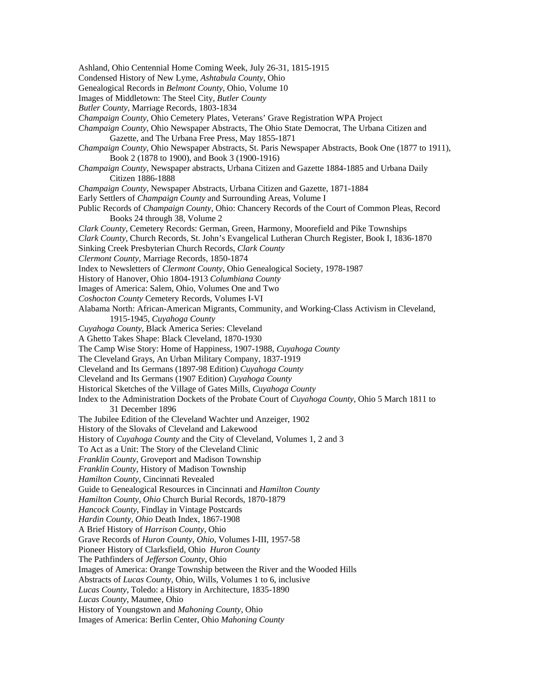Ashland, Ohio Centennial Home Coming Week, July 26-31, 1815-1915 Condensed History of New Lyme, *Ashtabula County*, Ohio Genealogical Records in *Belmont County*, Ohio, Volume 10 Images of Middletown: The Steel City, *Butler County Butler County,* Marriage Records, 1803-1834 *Champaign County*, Ohio Cemetery Plates, Veterans' Grave Registration WPA Project *Champaign County*, Ohio Newspaper Abstracts, The Ohio State Democrat, The Urbana Citizen and Gazette, and The Urbana Free Press, May 1855-1871 *Champaign County*, Ohio Newspaper Abstracts, St. Paris Newspaper Abstracts, Book One (1877 to 1911), Book 2 (1878 to 1900), and Book 3 (1900-1916) *Champaign County,* Newspaper abstracts, Urbana Citizen and Gazette 1884-1885 and Urbana Daily Citizen 1886-1888 *Champaign County,* Newspaper Abstracts, Urbana Citizen and Gazette, 1871-1884 Early Settlers of *Champaign County* and Surrounding Areas, Volume I Public Records of *Champaign County*, Ohio: Chancery Records of the Court of Common Pleas, Record Books 24 through 38, Volume 2 *Clark County*, Cemetery Records: German, Green, Harmony, Moorefield and Pike Townships *Clark County,* Church Records, St. John's Evangelical Lutheran Church Register, Book I, 1836-1870 Sinking Creek Presbyterian Church Records, *Clark County Clermont County,* Marriage Records, 1850-1874 Index to Newsletters of *Clermont County*, Ohio Genealogical Society, 1978-1987 History of Hanover, Ohio 1804-1913 *Columbiana County* Images of America: Salem, Ohio, Volumes One and Two *Coshocton County* Cemetery Records, Volumes I-VI Alabama North: African-American Migrants, Community, and Working-Class Activism in Cleveland, 1915-1945, *Cuyahoga County Cuyahoga County,* Black America Series: Cleveland A Ghetto Takes Shape: Black Cleveland, 1870-1930 The Camp Wise Story: Home of Happiness, 1907-1988, *Cuyahoga County* The Cleveland Grays, An Urban Military Company, 1837-1919 Cleveland and Its Germans (1897-98 Edition) *Cuyahoga County* Cleveland and Its Germans (1907 Edition) *Cuyahoga County* Historical Sketches of the Village of Gates Mills, *Cuyahoga County*  Index to the Administration Dockets of the Probate Court of *Cuyahoga County*, Ohio 5 March 1811 to 31 December 1896 The Jubilee Edition of the Cleveland Wachter und Anzeiger, 1902 History of the Slovaks of Cleveland and Lakewood History of *Cuyahoga County* and the City of Cleveland, Volumes 1, 2 and 3 To Act as a Unit: The Story of the Cleveland Clinic *Franklin County,* Groveport and Madison Township *Franklin County,* History of Madison Township *Hamilton County,* Cincinnati Revealed Guide to Genealogical Resources in Cincinnati and *Hamilton County Hamilton County, Ohio* Church Burial Records, 1870-1879 *Hancock County,* Findlay in Vintage Postcards *Hardin County, Ohio* Death Index, 1867-1908 A Brief History of *Harrison County*, Ohio Grave Records of *Huron County, Ohio,* Volumes I-III, 1957-58 Pioneer History of Clarksfield, Ohio *Huron County*  The Pathfinders of *Jefferson County*, Ohio Images of America: Orange Township between the River and the Wooded Hills Abstracts of *Lucas County*, Ohio, Wills, Volumes 1 to 6, inclusive *Lucas County,* Toledo: a History in Architecture, 1835-1890 *Lucas County,* Maumee, Ohio History of Youngstown and *Mahoning County*, Ohio Images of America: Berlin Center, Ohio *Mahoning County*